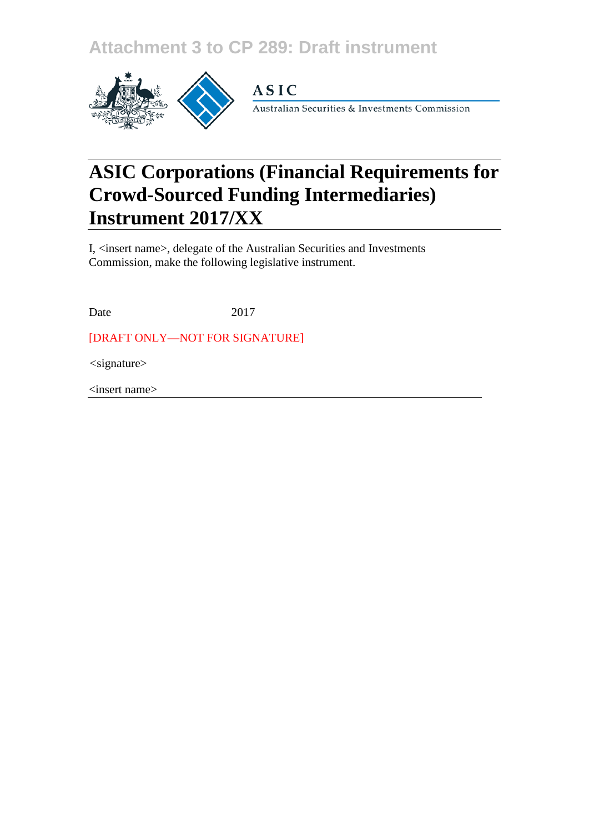**Attachment 3 to CP 289: Draft instrument**



**ASIC** 

Australian Securities & Investments Commission

# **ASIC Corporations (Financial Requirements for Crowd-Sourced Funding Intermediaries) Instrument 2017/XX**

I, <insert name>, delegate of the Australian Securities and Investments Commission, make the following legislative instrument.

Date 2017

[DRAFT ONLY—NOT FOR SIGNATURE]

*<*signature>

<insert name>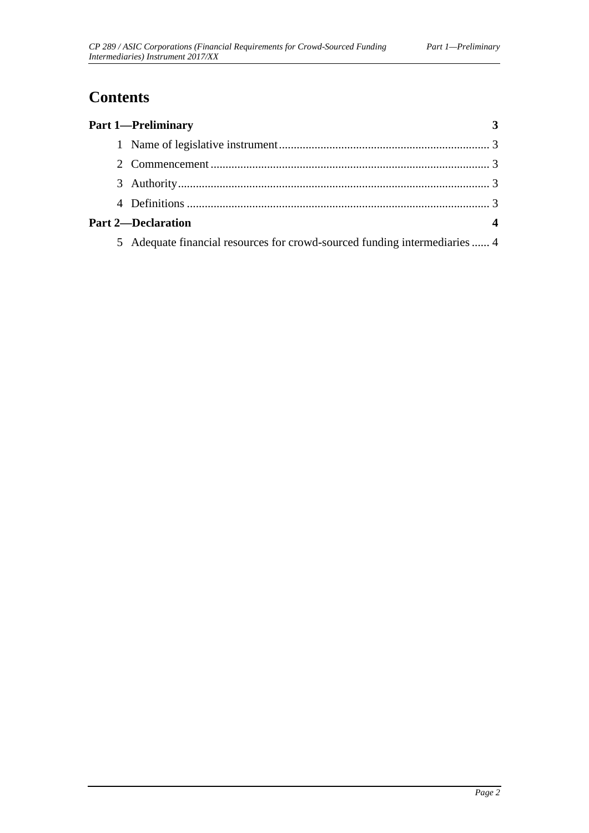## **Contents**

| <b>Part 1-Preliminary</b>                                                  |  |
|----------------------------------------------------------------------------|--|
|                                                                            |  |
|                                                                            |  |
|                                                                            |  |
|                                                                            |  |
| <b>Part 2-Declaration</b>                                                  |  |
| 5 Adequate financial resources for crowd-sourced funding intermediaries  4 |  |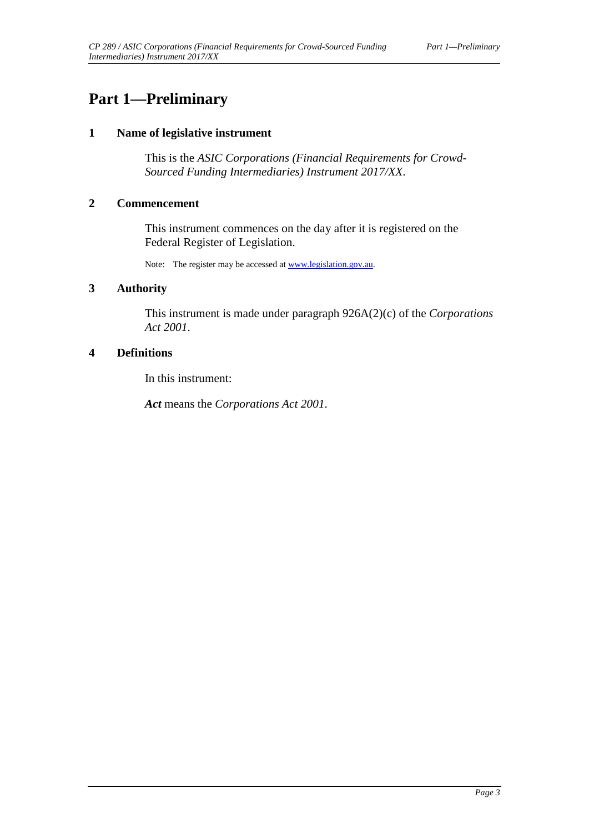### <span id="page-2-1"></span><span id="page-2-0"></span>**Part 1—Preliminary**

#### **1 Name of legislative instrument**

This is the *ASIC Corporations (Financial Requirements for Crowd-Sourced Funding Intermediaries) Instrument 2017/XX*.

#### <span id="page-2-2"></span>**2 Commencement**

This instrument commences on the day after it is registered on the Federal Register of Legislation.

Note: The register may be accessed a[t www.legislation.gov.au.](http://www.legislation.gov.au/)

#### <span id="page-2-3"></span>**3 Authority**

This instrument is made under paragraph 926A(2)(c) of the *Corporations Act 2001*.

#### <span id="page-2-4"></span>**4 Definitions**

In this instrument:

*Act* means the *Corporations Act 2001*.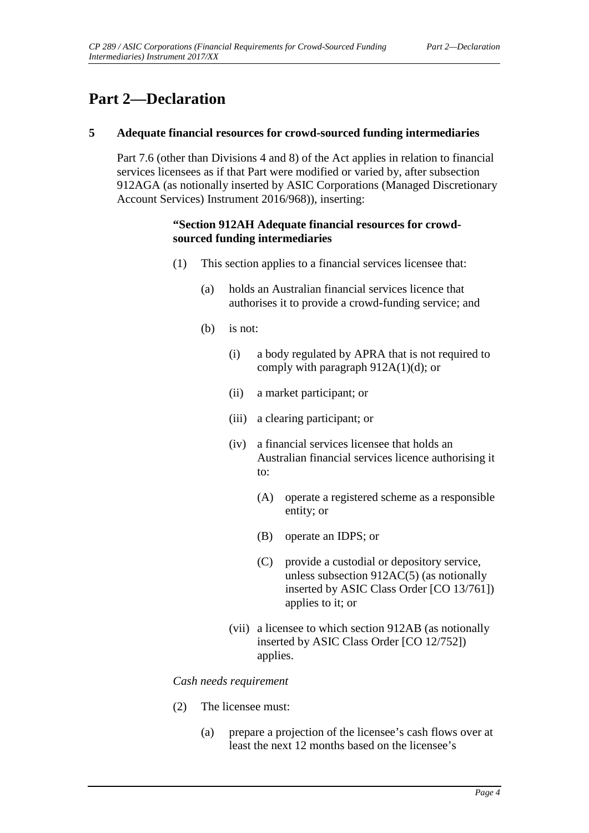### <span id="page-3-1"></span><span id="page-3-0"></span>**Part 2—Declaration**

#### **5 Adequate financial resources for crowd-sourced funding intermediaries**

Part 7.6 (other than Divisions 4 and 8) of the Act applies in relation to financial services licensees as if that Part were modified or varied by, after subsection 912AGA (as notionally inserted by ASIC Corporations (Managed Discretionary Account Services) Instrument 2016/968)), inserting:

#### **"Section 912AH Adequate financial resources for crowdsourced funding intermediaries**

- (1) This section applies to a financial services licensee that:
	- (a) holds an Australian financial services licence that authorises it to provide a crowd-funding service; and
	- (b) is not:
		- (i) a body regulated by APRA that is not required to comply with paragraph 912A(1)(d); or
		- (ii) a market participant; or
		- (iii) a clearing participant; or
		- (iv) a financial services licensee that holds an Australian financial services licence authorising it to:
			- (A) operate a registered scheme as a responsible entity; or
			- (B) operate an IDPS; or
			- (C) provide a custodial or depository service, unless subsection 912AC(5) (as notionally inserted by ASIC Class Order [CO 13/761]) applies to it; or
		- (vii) a licensee to which section 912AB (as notionally inserted by ASIC Class Order [CO 12/752]) applies.

#### *Cash needs requirement*

- (2) The licensee must:
	- (a) prepare a projection of the licensee's cash flows over at least the next 12 months based on the licensee's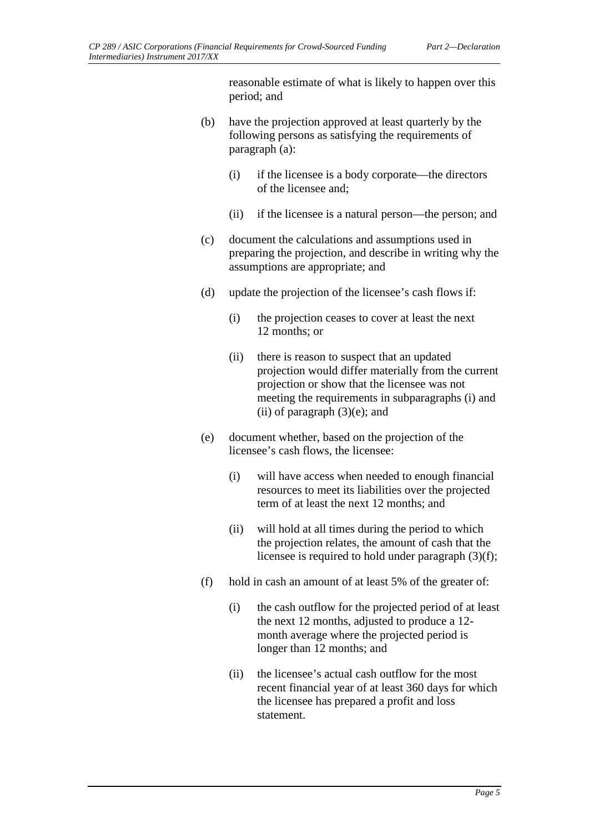reasonable estimate of what is likely to happen over this period; and

- (b) have the projection approved at least quarterly by the following persons as satisfying the requirements of paragraph (a):
	- (i) if the licensee is a body corporate—the directors of the licensee and;
	- (ii) if the licensee is a natural person—the person; and
- (c) document the calculations and assumptions used in preparing the projection, and describe in writing why the assumptions are appropriate; and
- (d) update the projection of the licensee's cash flows if:
	- (i) the projection ceases to cover at least the next 12 months; or
	- (ii) there is reason to suspect that an updated projection would differ materially from the current projection or show that the licensee was not meeting the requirements in subparagraphs (i) and (ii) of paragraph  $(3)(e)$ ; and
- (e) document whether, based on the projection of the licensee's cash flows, the licensee:
	- (i) will have access when needed to enough financial resources to meet its liabilities over the projected term of at least the next 12 months; and
	- (ii) will hold at all times during the period to which the projection relates, the amount of cash that the licensee is required to hold under paragraph (3)(f);
- (f) hold in cash an amount of at least 5% of the greater of:
	- (i) the cash outflow for the projected period of at least the next 12 months, adjusted to produce a 12 month average where the projected period is longer than 12 months; and
	- (ii) the licensee's actual cash outflow for the most recent financial year of at least 360 days for which the licensee has prepared a profit and loss statement.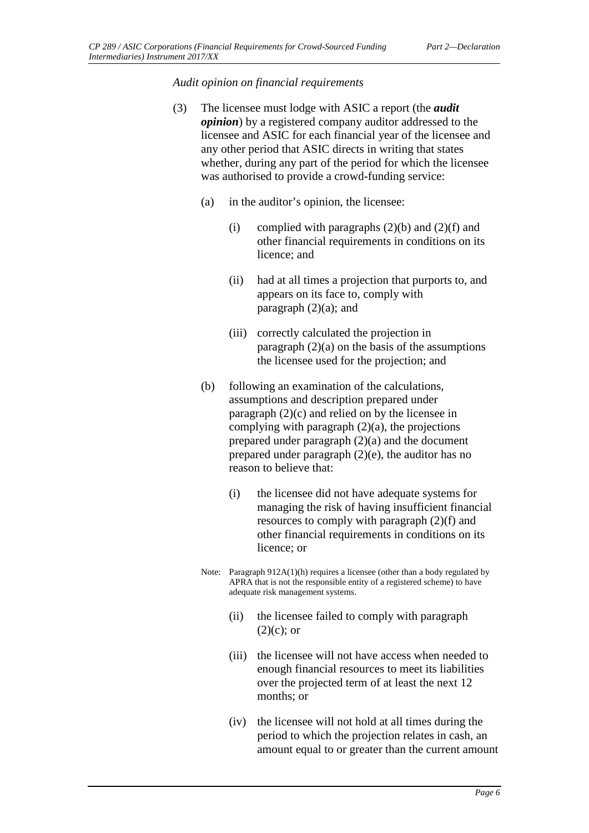*Audit opinion on financial requirements*

- (3) The licensee must lodge with ASIC a report (the *audit opinion*) by a registered company auditor addressed to the licensee and ASIC for each financial year of the licensee and any other period that ASIC directs in writing that states whether, during any part of the period for which the licensee was authorised to provide a crowd-funding service:
	- (a) in the auditor's opinion, the licensee:
		- (i) complied with paragraphs  $(2)(b)$  and  $(2)(f)$  and other financial requirements in conditions on its licence; and
		- (ii) had at all times a projection that purports to, and appears on its face to, comply with paragraph  $(2)(a)$ ; and
		- (iii) correctly calculated the projection in paragraph  $(2)(a)$  on the basis of the assumptions the licensee used for the projection; and
	- (b) following an examination of the calculations, assumptions and description prepared under paragraph (2)(c) and relied on by the licensee in complying with paragraph  $(2)(a)$ , the projections prepared under paragraph (2)(a) and the document prepared under paragraph (2)(e), the auditor has no reason to believe that:
		- (i) the licensee did not have adequate systems for managing the risk of having insufficient financial resources to comply with paragraph (2)(f) and other financial requirements in conditions on its licence; or
	- Note: Paragraph 912A(1)(h) requires a licensee (other than a body regulated by APRA that is not the responsible entity of a registered scheme) to have adequate risk management systems.
		- (ii) the licensee failed to comply with paragraph  $(2)(c)$ ; or
		- (iii) the licensee will not have access when needed to enough financial resources to meet its liabilities over the projected term of at least the next 12 months; or
		- (iv) the licensee will not hold at all times during the period to which the projection relates in cash, an amount equal to or greater than the current amount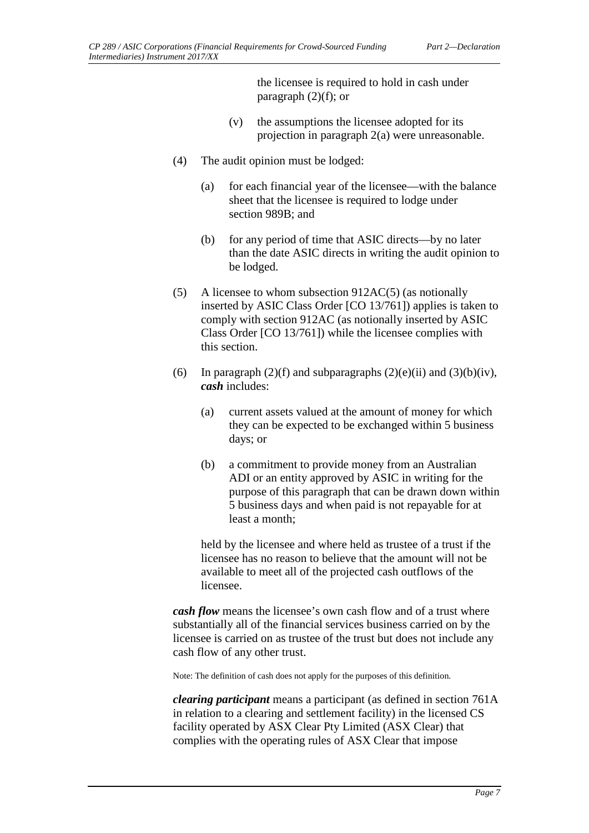the licensee is required to hold in cash under paragraph (2)(f); or

- (v) the assumptions the licensee adopted for its projection in paragraph 2(a) were unreasonable.
- (4) The audit opinion must be lodged:
	- (a) for each financial year of the licensee—with the balance sheet that the licensee is required to lodge under section 989B; and
	- (b) for any period of time that ASIC directs—by no later than the date ASIC directs in writing the audit opinion to be lodged.
- (5) A licensee to whom subsection 912AC(5) (as notionally inserted by ASIC Class Order [CO 13/761]) applies is taken to comply with section 912AC (as notionally inserted by ASIC Class Order [CO 13/761]) while the licensee complies with this section.
- (6) In paragraph (2)(f) and subparagraphs (2)(e)(ii) and (3)(b)(iv), *cash* includes:
	- (a) current assets valued at the amount of money for which they can be expected to be exchanged within 5 business days; or
	- (b) a commitment to provide money from an Australian ADI or an entity approved by ASIC in writing for the purpose of this paragraph that can be drawn down within 5 business days and when paid is not repayable for at least a month;

held by the licensee and where held as trustee of a trust if the licensee has no reason to believe that the amount will not be available to meet all of the projected cash outflows of the licensee.

*cash flow* means the licensee's own cash flow and of a trust where substantially all of the financial services business carried on by the licensee is carried on as trustee of the trust but does not include any cash flow of any other trust.

Note: The definition of cash does not apply for the purposes of this definition.

*clearing participant* means a participant (as defined in section 761A in relation to a clearing and settlement facility) in the licensed CS facility operated by ASX Clear Pty Limited (ASX Clear) that complies with the operating rules of ASX Clear that impose